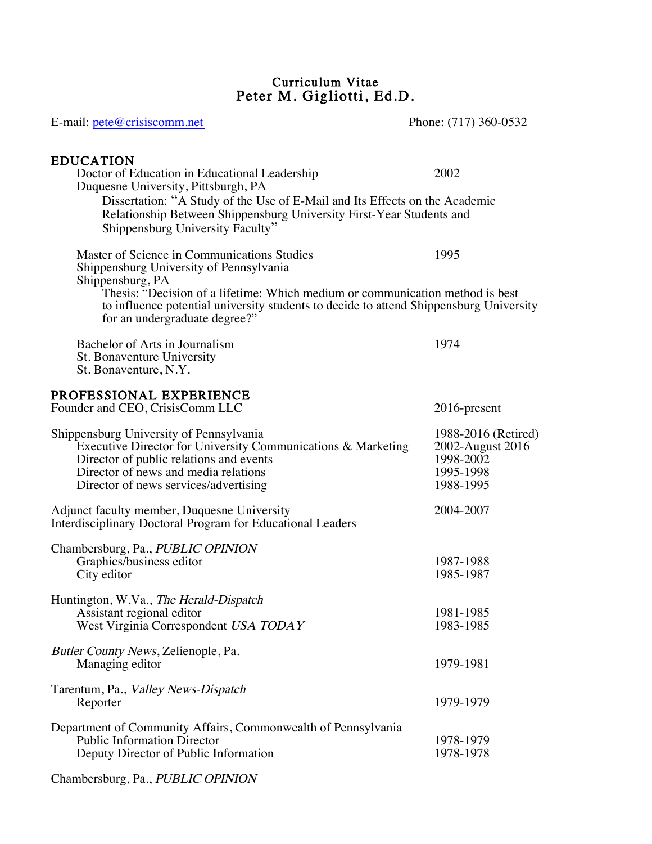### Curriculum Vitae Peter M. Gigliotti, Ed.D.

| E-mail: pete@crisiscomm.net                                                                                                                                                                                                                                                                                            | Phone: (717) 360-0532                                                          |
|------------------------------------------------------------------------------------------------------------------------------------------------------------------------------------------------------------------------------------------------------------------------------------------------------------------------|--------------------------------------------------------------------------------|
| <b>EDUCATION</b><br>Doctor of Education in Educational Leadership<br>Duquesne University, Pittsburgh, PA<br>Dissertation: "A Study of the Use of E-Mail and Its Effects on the Academic<br>Relationship Between Shippensburg University First-Year Students and<br>Shippensburg University Faculty"                    | 2002                                                                           |
| Master of Science in Communications Studies<br>Shippensburg University of Pennsylvania<br>Shippensburg, PA<br>Thesis: "Decision of a lifetime: Which medium or communication method is best<br>to influence potential university students to decide to attend Shippensburg University<br>for an undergraduate degree?" | 1995                                                                           |
| Bachelor of Arts in Journalism<br>St. Bonaventure University<br>St. Bonaventure, N.Y.                                                                                                                                                                                                                                  | 1974                                                                           |
| PROFESSIONAL EXPERIENCE<br>Founder and CEO, CrisisComm LLC                                                                                                                                                                                                                                                             | 2016-present                                                                   |
| Shippensburg University of Pennsylvania<br>Executive Director for University Communications & Marketing<br>Director of public relations and events<br>Director of news and media relations<br>Director of news services/advertising                                                                                    | 1988-2016 (Retired)<br>2002-August 2016<br>1998-2002<br>1995-1998<br>1988-1995 |
| Adjunct faculty member, Duquesne University<br>Interdisciplinary Doctoral Program for Educational Leaders                                                                                                                                                                                                              | 2004-2007                                                                      |
| Chambersburg, Pa., PUBLIC OPINION<br>Graphics/business editor<br>City editor                                                                                                                                                                                                                                           | 1987-1988<br>1985-1987                                                         |
| Huntington, W.Va., The Herald-Dispatch<br>Assistant regional editor<br>West Virginia Correspondent USA TODAY                                                                                                                                                                                                           | 1981-1985<br>1983-1985                                                         |
| Butler County News, Zelienople, Pa.<br>Managing editor                                                                                                                                                                                                                                                                 | 1979-1981                                                                      |
| Tarentum, Pa., <i>Valley News-Dispatch</i><br>Reporter                                                                                                                                                                                                                                                                 | 1979-1979                                                                      |
| Department of Community Affairs, Commonwealth of Pennsylvania<br><b>Public Information Director</b><br>Deputy Director of Public Information                                                                                                                                                                           | 1978-1979<br>1978-1978                                                         |

Chambersburg, Pa., PUBLIC OPINION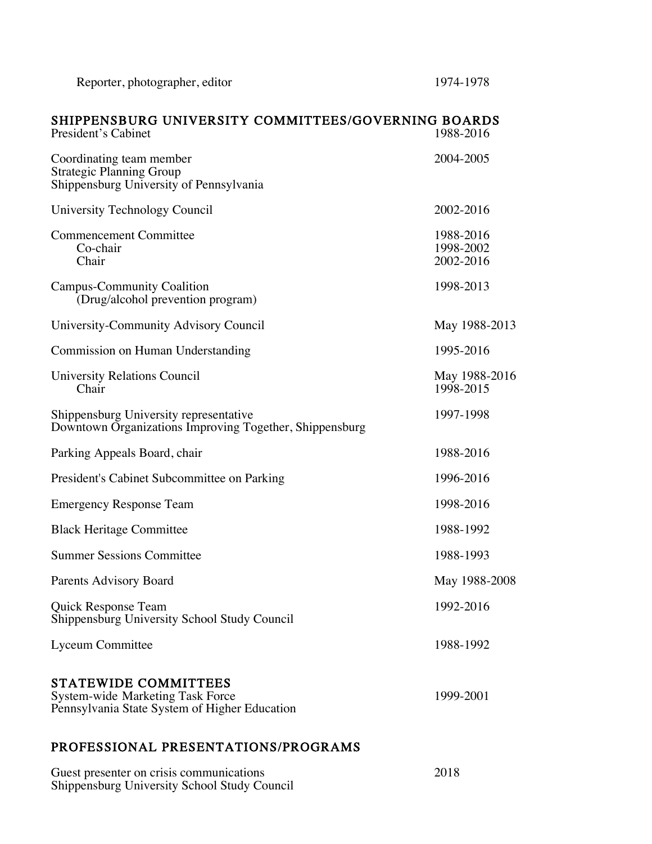| SHIPPENSBURG UNIVERSITY COMMITTEES/GOVERNING BOARDS<br>President's Cabinet                             | 1988-2016                           |
|--------------------------------------------------------------------------------------------------------|-------------------------------------|
| Coordinating team member<br><b>Strategic Planning Group</b><br>Shippensburg University of Pennsylvania | 2004-2005                           |
| University Technology Council                                                                          | 2002-2016                           |
| <b>Commencement Committee</b><br>Co-chair<br>Chair                                                     | 1988-2016<br>1998-2002<br>2002-2016 |
| <b>Campus-Community Coalition</b><br>(Drug/alcohol prevention program)                                 | 1998-2013                           |
| University-Community Advisory Council                                                                  | May 1988-2013                       |
| Commission on Human Understanding                                                                      | 1995-2016                           |
| <b>University Relations Council</b><br>Chair                                                           | May 1988-2016<br>1998-2015          |
| Shippensburg University representative<br>Downtown Organizations Improving Together, Shippensburg      | 1997-1998                           |
| Parking Appeals Board, chair                                                                           | 1988-2016                           |
| President's Cabinet Subcommittee on Parking                                                            | 1996-2016                           |
| <b>Emergency Response Team</b>                                                                         | 1998-2016                           |
| <b>Black Heritage Committee</b>                                                                        | 1988-1992                           |
| <b>Summer Sessions Committee</b>                                                                       | 1988-1993                           |
| Parents Advisory Board                                                                                 | May 1988-2008                       |
| Quick Response Team<br>Shippensburg University School Study Council                                    | 1992-2016                           |
| <b>Lyceum Committee</b>                                                                                | 1988-1992                           |
| STATEWIDE COMMITTEES<br><b>System-wide Marketing Task Force</b>                                        | 1999-2001                           |

## PROFESSIONAL PRESENTATIONS/PROGRAMS

Pennsylvania State System of Higher Education

| Guest presenter on crisis communications     | 2018 |
|----------------------------------------------|------|
| Shippensburg University School Study Council |      |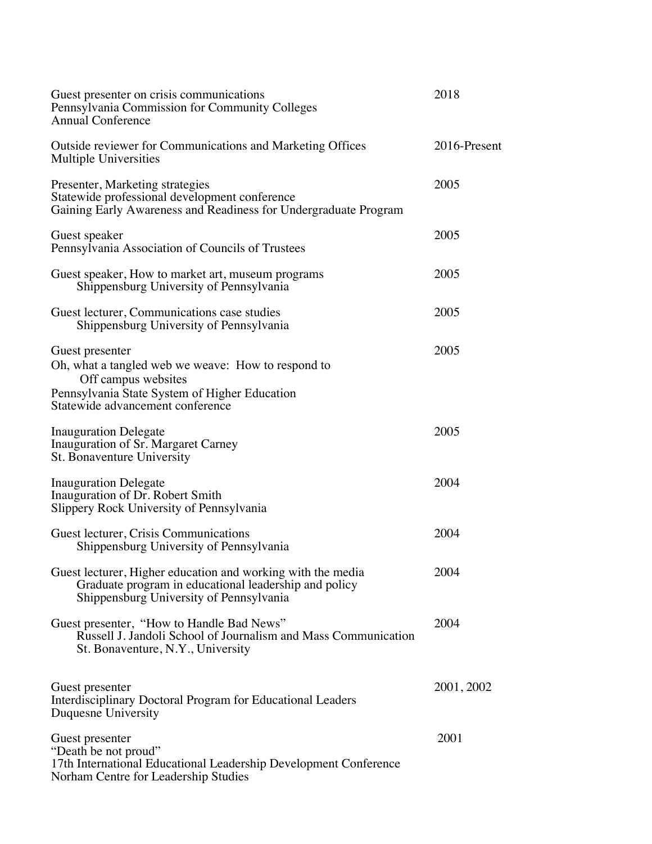| Guest presenter on crisis communications<br>Pennsylvania Commission for Community Colleges<br><b>Annual Conference</b>                                                            | 2018         |
|-----------------------------------------------------------------------------------------------------------------------------------------------------------------------------------|--------------|
| Outside reviewer for Communications and Marketing Offices<br>Multiple Universities                                                                                                | 2016-Present |
| Presenter, Marketing strategies<br>Statewide professional development conference<br>Gaining Early Awareness and Readiness for Undergraduate Program                               | 2005         |
| Guest speaker<br>Pennsylvania Association of Councils of Trustees                                                                                                                 | 2005         |
| Guest speaker, How to market art, museum programs<br>Shippensburg University of Pennsylvania                                                                                      | 2005         |
| Guest lecturer, Communications case studies<br>Shippensburg University of Pennsylvania                                                                                            | 2005         |
| Guest presenter<br>Oh, what a tangled web we weave: How to respond to<br>Off campus websites<br>Pennsylvania State System of Higher Education<br>Statewide advancement conference | 2005         |
| <b>Inauguration Delegate</b><br>Inauguration of Sr. Margaret Carney<br>St. Bonaventure University                                                                                 | 2005         |
| <b>Inauguration Delegate</b><br>Inauguration of Dr. Robert Smith<br>Slippery Rock University of Pennsylvania                                                                      | 2004         |
| Guest lecturer, Crisis Communications<br>Shippensburg University of Pennsylvania                                                                                                  | 2004         |
| Guest lecturer, Higher education and working with the media<br>Graduate program in educational leadership and policy<br>Shippensburg University of Pennsylvania                   | 2004         |
| Guest presenter, "How to Handle Bad News"<br>Russell J. Jandoli School of Journalism and Mass Communication<br>St. Bonaventure, N.Y., University                                  | 2004         |
| Guest presenter<br>Interdisciplinary Doctoral Program for Educational Leaders<br>Duquesne University                                                                              | 2001, 2002   |
| Guest presenter<br>"Death be not proud"<br>17th International Educational Leadership Development Conference<br>Norham Centre for Leadership Studies                               | 2001         |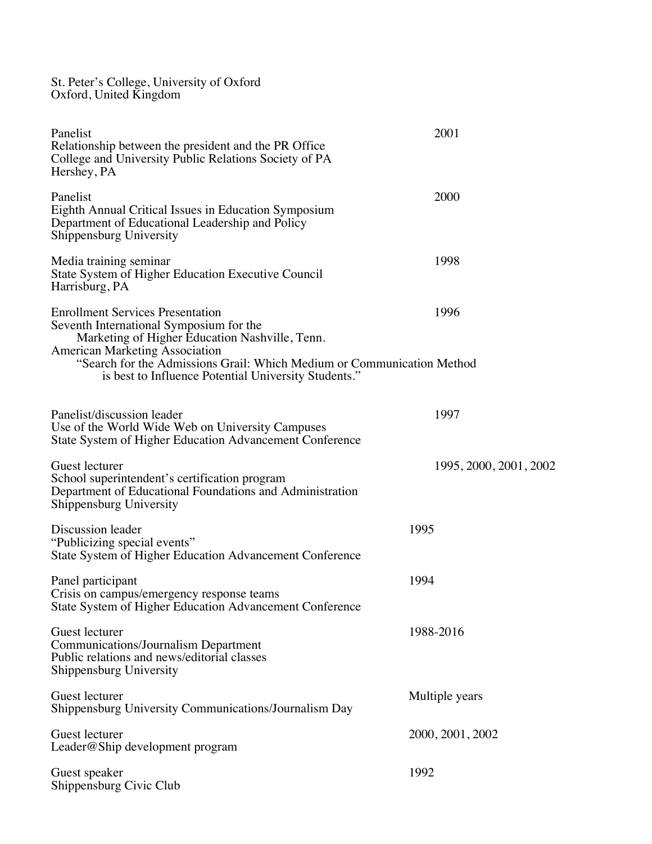St. Peter's College, University of Oxford Oxford, United Kingdom

| Panelist<br>Relationship between the president and the PR Office<br>College and University Public Relations Society of PA<br>Hershey, PA                                                                                                                | 2001                   |
|---------------------------------------------------------------------------------------------------------------------------------------------------------------------------------------------------------------------------------------------------------|------------------------|
| Panelist<br>Eighth Annual Critical Issues in Education Symposium<br>Department of Educational Leadership and Policy<br>Shippensburg University                                                                                                          | 2000                   |
| Media training seminar<br>State System of Higher Education Executive Council<br>Harrisburg, PA                                                                                                                                                          | 1998                   |
| <b>Enrollment Services Presentation</b><br>Seventh International Symposium for the<br>Marketing of Higher Education Nashville, Tenn.<br><b>American Marketing Association</b><br>"Search for the Admissions Grail: Which Medium or Communication Method | 1996                   |
| is best to Influence Potential University Students."                                                                                                                                                                                                    |                        |
| Panelist/discussion leader<br>Use of the World Wide Web on University Campuses<br>State System of Higher Education Advancement Conference                                                                                                               | 1997                   |
| Guest lecturer<br>School superintendent's certification program<br>Department of Educational Foundations and Administration<br>Shippensburg University                                                                                                  | 1995, 2000, 2001, 2002 |
| Discussion leader<br>"Publicizing special events"<br>State System of Higher Education Advancement Conference                                                                                                                                            | 1995                   |
| Panel participant<br>Crisis on campus/emergency response teams<br>State System of Higher Education Advancement Conference                                                                                                                               | 1994                   |
| Guest lecturer<br><b>Communications/Journalism Department</b><br>Public relations and news/editorial classes<br>Shippensburg University                                                                                                                 | 1988-2016              |
| Guest lecturer<br>Shippensburg University Communications/Journalism Day                                                                                                                                                                                 | Multiple years         |
| Guest lecturer<br>Leader@Ship development program                                                                                                                                                                                                       | 2000, 2001, 2002       |
| Guest speaker<br>Shippensburg Civic Club                                                                                                                                                                                                                | 1992                   |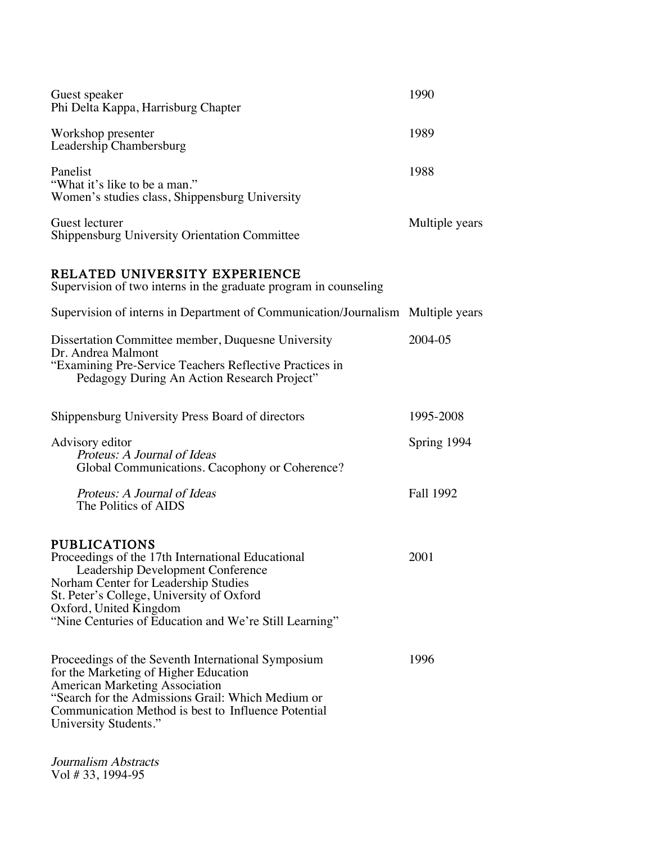| Guest speaker<br>Phi Delta Kappa, Harrisburg Chapter                                                                                                                                                                                                                                   | 1990           |
|----------------------------------------------------------------------------------------------------------------------------------------------------------------------------------------------------------------------------------------------------------------------------------------|----------------|
| Workshop presenter<br>Leadership Chambersburg                                                                                                                                                                                                                                          | 1989           |
| Panelist<br>"What it's like to be a man."<br>Women's studies class, Shippensburg University                                                                                                                                                                                            | 1988           |
| Guest lecturer<br><b>Shippensburg University Orientation Committee</b>                                                                                                                                                                                                                 | Multiple years |
| RELATED UNIVERSITY EXPERIENCE<br>Supervision of two interns in the graduate program in counseling                                                                                                                                                                                      |                |
| Supervision of interns in Department of Communication/Journalism Multiple years                                                                                                                                                                                                        |                |
| Dissertation Committee member, Duquesne University<br>Dr. Andrea Malmont<br>"Examining Pre-Service Teachers Reflective Practices in<br>Pedagogy During An Action Research Project"                                                                                                     | 2004-05        |
| Shippensburg University Press Board of directors                                                                                                                                                                                                                                       | 1995-2008      |
| Advisory editor<br>Proteus: A Journal of Ideas<br>Global Communications. Cacophony or Coherence?                                                                                                                                                                                       | Spring 1994    |
| Proteus: A Journal of Ideas<br>The Politics of AIDS                                                                                                                                                                                                                                    | Fall 1992      |
| <b>PUBLICATIONS</b><br>Proceedings of the 17th International Educational<br>Leadership Development Conference<br>Norham Center for Leadership Studies<br>St. Peter's College, University of Oxford<br>Oxford, United Kingdom<br>"Nine Centuries of Education and We're Still Learning" | 2001           |
| Proceedings of the Seventh International Symposium<br>for the Marketing of Higher Education<br><b>American Marketing Association</b><br>"Search for the Admissions Grail: Which Medium or<br>Communication Method is best to Influence Potential<br>University Students."              | 1996           |

Journalism Abstracts Vol # 33, 1994-95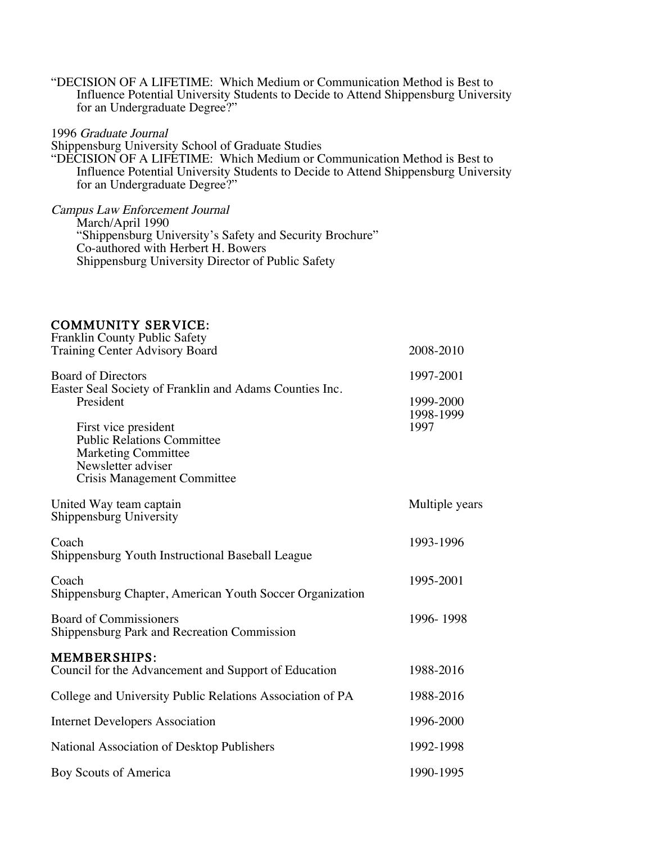"DECISION OF A LIFETIME: Which Medium or Communication Method is Best to Influence Potential University Students to Decide to Attend Shippensburg University for an Undergraduate Degree?"

### 1996 Graduate Journal

Shippensburg University School of Graduate Studies "DECISION OF A LIFETIME: Which Medium or Communication Method is Best to Influence Potential University Students to Decide to Attend Shippensburg University for an Undergraduate Degree?"

Campus Law Enforcement Journal March/April 1990 "Shippensburg University's Safety and Security Brochure" Co-authored with Herbert H. Bowers Shippensburg University Director of Public Safety

# COMMUNITY SERVICE: Franklin County Public Safety

| Franklin County Public Safety                                                           |                        |
|-----------------------------------------------------------------------------------------|------------------------|
| <b>Training Center Advisory Board</b>                                                   | 2008-2010              |
| <b>Board of Directors</b>                                                               | 1997-2001              |
| Easter Seal Society of Franklin and Adams Counties Inc.<br>President                    | 1999-2000<br>1998-1999 |
| First vice president<br><b>Public Relations Committee</b><br><b>Marketing Committee</b> | 1997                   |
| Newsletter adviser<br><b>Crisis Management Committee</b>                                |                        |
| United Way team captain<br>Shippensburg University                                      | Multiple years         |
| Coach<br>Shippensburg Youth Instructional Baseball League                               | 1993-1996              |
| Coach<br>Shippensburg Chapter, American Youth Soccer Organization                       | 1995-2001              |
| <b>Board of Commissioners</b><br>Shippensburg Park and Recreation Commission            | 1996-1998              |
| <b>MEMBERSHIPS:</b><br>Council for the Advancement and Support of Education             | 1988-2016              |
| College and University Public Relations Association of PA                               | 1988-2016              |
| <b>Internet Developers Association</b>                                                  | 1996-2000              |
| National Association of Desktop Publishers                                              | 1992-1998              |
| Boy Scouts of America                                                                   | 1990-1995              |